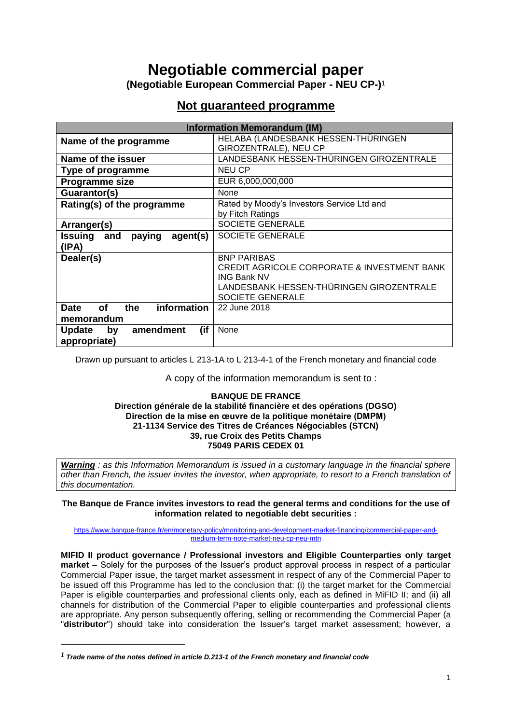# **Negotiable commercial paper**

**(Negotiable European Commercial Paper - NEU CP-)** 1

## **Not guaranteed programme**

| <b>Information Memorandum (IM)</b>             |                                                        |  |
|------------------------------------------------|--------------------------------------------------------|--|
| Name of the programme                          | HELABA (LANDESBANK HESSEN-THÜRINGEN                    |  |
|                                                | GIROZENTRALE), NEU CP                                  |  |
| Name of the issuer                             | LANDESBANK HESSEN-THÜRINGEN GIROZENTRALE               |  |
| Type of programme                              | NEU CP                                                 |  |
| Programme size                                 | EUR 6,000,000,000                                      |  |
| Guarantor(s)                                   | None                                                   |  |
| Rating(s) of the programme                     | Rated by Moody's Investors Service Ltd and             |  |
|                                                | by Fitch Ratings                                       |  |
| Arranger(s)                                    | SOCIETE GENERALE                                       |  |
| agent(s)<br><b>Issuing</b><br>and<br>paying    | SOCIETE GENERALE                                       |  |
| (IPA)                                          |                                                        |  |
| Dealer(s)                                      | <b>BNP PARIBAS</b>                                     |  |
|                                                | <b>CREDIT AGRICOLE CORPORATE &amp; INVESTMENT BANK</b> |  |
|                                                | <b>ING Bank NV</b>                                     |  |
|                                                | LANDESBANK HESSEN-THÜRINGEN GIROZENTRALE               |  |
|                                                | SOCIETE GENERALE                                       |  |
| information<br>the<br><b>Date</b><br><b>of</b> | 22 June 2018                                           |  |
| memorandum                                     |                                                        |  |
| (if<br>amendment<br><b>Update</b><br>by        | None                                                   |  |
| appropriate)                                   |                                                        |  |

Drawn up pursuant to articles L 213-1A to L 213-4-1 of the French monetary and financial code

A copy of the information memorandum is sent to :

#### **BANQUE DE FRANCE Direction générale de la stabilité financière et des opérations (DGSO) Direction de la mise en œuvre de la politique monétaire (DMPM) 21-1134 Service des Titres de Créances Négociables (STCN) 39, rue Croix des Petits Champs 75049 PARIS CEDEX 01**

*Warning : as this Information Memorandum is issued in a customary language in the financial sphere other than French, the issuer invites the investor, when appropriate, to resort to a French translation of this documentation.* 

**The Banque de France invites investors to read the general terms and conditions for the use of information related to negotiable debt securities :**

[https://www.banque-france.fr/en/monetary-policy/monitoring-and-development-market-financing/commercial-paper-and](https://www.banque-france.fr/en/monetary-policy/monitoring-and-development-market-financing/commercial-paper-and-medium-term-note-market-neu-cp-neu-mtn)[medium-term-note-market-neu-cp-neu-mtn](https://www.banque-france.fr/en/monetary-policy/monitoring-and-development-market-financing/commercial-paper-and-medium-term-note-market-neu-cp-neu-mtn)

**MIFID II product governance / Professional investors and Eligible Counterparties only target market** – Solely for the purposes of the Issuer's product approval process in respect of a particular Commercial Paper issue, the target market assessment in respect of any of the Commercial Paper to be issued off this Programme has led to the conclusion that: (i) the target market for the Commercial Paper is eligible counterparties and professional clients only, each as defined in MiFID II; and (ii) all channels for distribution of the Commercial Paper to eligible counterparties and professional clients are appropriate. Any person subsequently offering, selling or recommending the Commercial Paper (a "**distributor**") should take into consideration the Issuer's target market assessment; however, a

1

*<sup>1</sup> Trade name of the notes defined in article D.213-1 of the French monetary and financial code*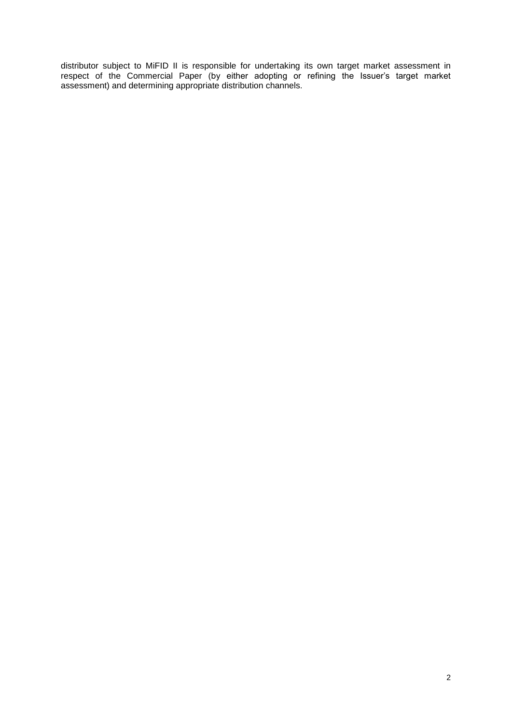distributor subject to MiFID II is responsible for undertaking its own target market assessment in respect of the Commercial Paper (by either adopting or refining the Issuer's target market assessment) and determining appropriate distribution channels.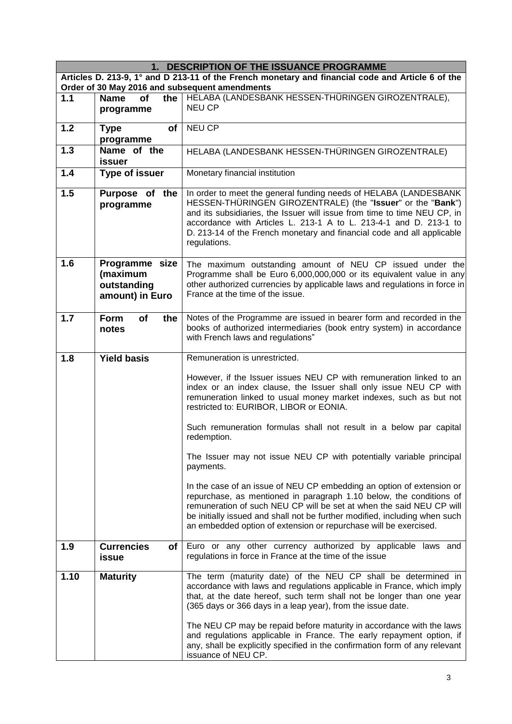| 1. DESCRIPTION OF THE ISSUANCE PROGRAMME |                                                                                                   |                                                                                                                                                                                                                                                                                                                                                                            |  |
|------------------------------------------|---------------------------------------------------------------------------------------------------|----------------------------------------------------------------------------------------------------------------------------------------------------------------------------------------------------------------------------------------------------------------------------------------------------------------------------------------------------------------------------|--|
|                                          | Articles D. 213-9, 1° and D 213-11 of the French monetary and financial code and Article 6 of the |                                                                                                                                                                                                                                                                                                                                                                            |  |
| 1.1                                      | <b>Name</b><br><b>of</b><br>the                                                                   | Order of 30 May 2016 and subsequent amendments<br>HELABA (LANDESBANK HESSEN-THÜRINGEN GIROZENTRALE),                                                                                                                                                                                                                                                                       |  |
|                                          | programme                                                                                         | <b>NEU CP</b>                                                                                                                                                                                                                                                                                                                                                              |  |
| $1.2$                                    | <b>of</b><br><b>Type</b><br>programme                                                             | <b>NEU CP</b>                                                                                                                                                                                                                                                                                                                                                              |  |
| 1.3                                      | Name of the<br><b>issuer</b>                                                                      | HELABA (LANDESBANK HESSEN-THÜRINGEN GIROZENTRALE)                                                                                                                                                                                                                                                                                                                          |  |
| 1.4                                      | <b>Type of issuer</b>                                                                             | Monetary financial institution                                                                                                                                                                                                                                                                                                                                             |  |
| 1.5                                      | Purpose of the<br>programme                                                                       | In order to meet the general funding needs of HELABA (LANDESBANK<br>HESSEN-THÜRINGEN GIROZENTRALE) (the "Issuer" or the "Bank")<br>and its subsidiaries, the Issuer will issue from time to time NEU CP, in<br>accordance with Articles L. 213-1 A to L. 213-4-1 and D. 213-1 to<br>D. 213-14 of the French monetary and financial code and all applicable<br>regulations. |  |
| 1.6                                      | Programme size<br>(maximum<br>outstanding<br>amount) in Euro                                      | The maximum outstanding amount of NEU CP issued under the<br>Programme shall be Euro 6,000,000,000 or its equivalent value in any<br>other authorized currencies by applicable laws and regulations in force in<br>France at the time of the issue.                                                                                                                        |  |
| 1.7                                      | <b>Form</b><br><b>of</b><br>the<br>notes                                                          | Notes of the Programme are issued in bearer form and recorded in the<br>books of authorized intermediaries (book entry system) in accordance<br>with French laws and regulations"                                                                                                                                                                                          |  |
| 1.8                                      | <b>Yield basis</b>                                                                                | Remuneration is unrestricted.                                                                                                                                                                                                                                                                                                                                              |  |
|                                          |                                                                                                   | However, if the Issuer issues NEU CP with remuneration linked to an<br>index or an index clause, the Issuer shall only issue NEU CP with<br>remuneration linked to usual money market indexes, such as but not<br>restricted to: EURIBOR, LIBOR or EONIA.                                                                                                                  |  |
|                                          |                                                                                                   | Such remuneration formulas shall not result in a below par capital<br>redemption.                                                                                                                                                                                                                                                                                          |  |
|                                          |                                                                                                   | The Issuer may not issue NEU CP with potentially variable principal<br>payments.                                                                                                                                                                                                                                                                                           |  |
|                                          |                                                                                                   | In the case of an issue of NEU CP embedding an option of extension or<br>repurchase, as mentioned in paragraph 1.10 below, the conditions of<br>remuneration of such NEU CP will be set at when the said NEU CP will<br>be initially issued and shall not be further modified, including when such<br>an embedded option of extension or repurchase will be exercised.     |  |
| 1.9                                      | <b>Currencies</b><br>of l<br>issue                                                                | Euro or any other currency authorized by applicable laws and<br>regulations in force in France at the time of the issue                                                                                                                                                                                                                                                    |  |
| 1.10                                     | <b>Maturity</b>                                                                                   | The term (maturity date) of the NEU CP shall be determined in<br>accordance with laws and regulations applicable in France, which imply<br>that, at the date hereof, such term shall not be longer than one year<br>(365 days or 366 days in a leap year), from the issue date.                                                                                            |  |
|                                          |                                                                                                   | The NEU CP may be repaid before maturity in accordance with the laws<br>and regulations applicable in France. The early repayment option, if<br>any, shall be explicitly specified in the confirmation form of any relevant<br>issuance of NEU CP.                                                                                                                         |  |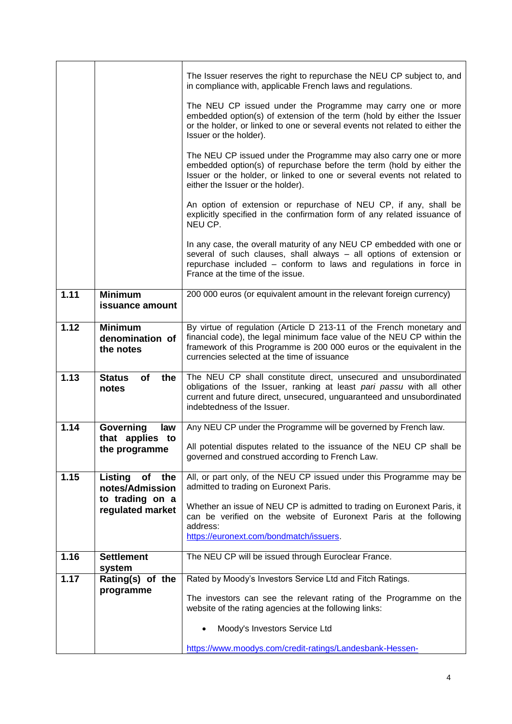|      |                                                        | The Issuer reserves the right to repurchase the NEU CP subject to, and<br>in compliance with, applicable French laws and regulations.                                                                                                                                  |
|------|--------------------------------------------------------|------------------------------------------------------------------------------------------------------------------------------------------------------------------------------------------------------------------------------------------------------------------------|
|      |                                                        | The NEU CP issued under the Programme may carry one or more<br>embedded option(s) of extension of the term (hold by either the Issuer<br>or the holder, or linked to one or several events not related to either the<br>Issuer or the holder).                         |
|      |                                                        | The NEU CP issued under the Programme may also carry one or more<br>embedded option(s) of repurchase before the term (hold by either the<br>Issuer or the holder, or linked to one or several events not related to<br>either the Issuer or the holder).               |
|      |                                                        | An option of extension or repurchase of NEU CP, if any, shall be<br>explicitly specified in the confirmation form of any related issuance of<br>NEU CP.                                                                                                                |
|      |                                                        | In any case, the overall maturity of any NEU CP embedded with one or<br>several of such clauses, shall always - all options of extension or<br>repurchase included - conform to laws and regulations in force in<br>France at the time of the issue.                   |
| 1.11 | <b>Minimum</b><br>issuance amount                      | 200 000 euros (or equivalent amount in the relevant foreign currency)                                                                                                                                                                                                  |
| 1.12 | <b>Minimum</b><br>denomination of<br>the notes         | By virtue of regulation (Article D 213-11 of the French monetary and<br>financial code), the legal minimum face value of the NEU CP within the<br>framework of this Programme is 200 000 euros or the equivalent in the<br>currencies selected at the time of issuance |
| 1.13 | <b>Status</b><br>of<br>the<br>notes                    | The NEU CP shall constitute direct, unsecured and unsubordinated<br>obligations of the Issuer, ranking at least pari passu with all other<br>current and future direct, unsecured, unguaranteed and unsubordinated<br>indebtedness of the Issuer.                      |
| 1.14 | Governing<br>law                                       | Any NEU CP under the Programme will be governed by French law.                                                                                                                                                                                                         |
|      | that applies to<br>the programme                       | All potential disputes related to the issuance of the NEU CP shall be<br>governed and construed according to French Law.                                                                                                                                               |
| 1.15 | of<br>Listing<br>the                                   | All, or part only, of the NEU CP issued under this Programme may be                                                                                                                                                                                                    |
|      | notes/Admission<br>to trading on a<br>regulated market | admitted to trading on Euronext Paris.<br>Whether an issue of NEU CP is admitted to trading on Euronext Paris, it<br>can be verified on the website of Euronext Paris at the following                                                                                 |
|      |                                                        | address:<br>https://euronext.com/bondmatch/issuers.                                                                                                                                                                                                                    |
| 1.16 | <b>Settlement</b>                                      | The NEU CP will be issued through Euroclear France.                                                                                                                                                                                                                    |
|      | system                                                 |                                                                                                                                                                                                                                                                        |
| 1.17 | Rating(s) of the<br>programme                          | Rated by Moody's Investors Service Ltd and Fitch Ratings.                                                                                                                                                                                                              |
|      |                                                        | The investors can see the relevant rating of the Programme on the<br>website of the rating agencies at the following links:                                                                                                                                            |
|      |                                                        | Moody's Investors Service Ltd                                                                                                                                                                                                                                          |
|      |                                                        | https://www.moodys.com/credit-ratings/Landesbank-Hessen-                                                                                                                                                                                                               |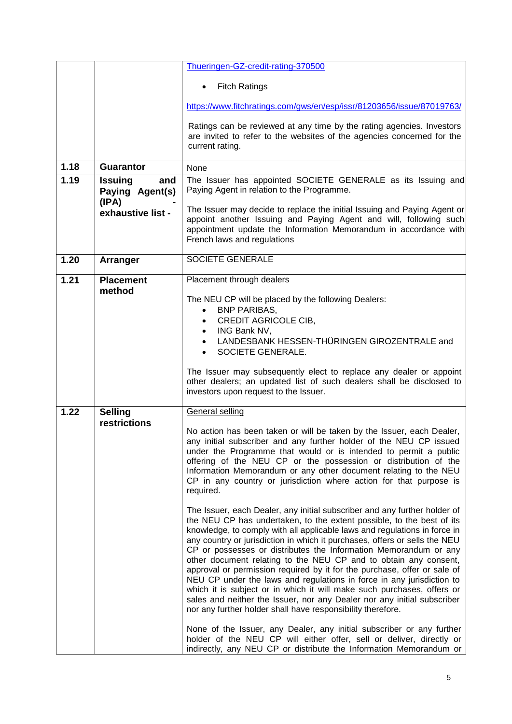|      |                                          | Thueringen-GZ-credit-rating-370500                                                                                                                                                                                                                                                                                                                                                                                                                                                                                                                                                                                                                                                                                                                |
|------|------------------------------------------|---------------------------------------------------------------------------------------------------------------------------------------------------------------------------------------------------------------------------------------------------------------------------------------------------------------------------------------------------------------------------------------------------------------------------------------------------------------------------------------------------------------------------------------------------------------------------------------------------------------------------------------------------------------------------------------------------------------------------------------------------|
|      |                                          | <b>Fitch Ratings</b>                                                                                                                                                                                                                                                                                                                                                                                                                                                                                                                                                                                                                                                                                                                              |
|      |                                          | https://www.fitchratings.com/gws/en/esp/issr/81203656/issue/87019763/                                                                                                                                                                                                                                                                                                                                                                                                                                                                                                                                                                                                                                                                             |
|      |                                          | Ratings can be reviewed at any time by the rating agencies. Investors<br>are invited to refer to the websites of the agencies concerned for the<br>current rating.                                                                                                                                                                                                                                                                                                                                                                                                                                                                                                                                                                                |
| 1.18 | <b>Guarantor</b>                         | None                                                                                                                                                                                                                                                                                                                                                                                                                                                                                                                                                                                                                                                                                                                                              |
| 1.19 | <b>Issuing</b><br>and<br>Paying Agent(s) | The Issuer has appointed SOCIETE GENERALE as its Issuing and<br>Paying Agent in relation to the Programme.                                                                                                                                                                                                                                                                                                                                                                                                                                                                                                                                                                                                                                        |
|      | (IPA)<br>exhaustive list -               | The Issuer may decide to replace the initial Issuing and Paying Agent or<br>appoint another Issuing and Paying Agent and will, following such<br>appointment update the Information Memorandum in accordance with<br>French laws and regulations                                                                                                                                                                                                                                                                                                                                                                                                                                                                                                  |
| 1.20 | Arranger                                 | <b>SOCIETE GENERALE</b>                                                                                                                                                                                                                                                                                                                                                                                                                                                                                                                                                                                                                                                                                                                           |
| 1.21 | <b>Placement</b><br>method               | Placement through dealers<br>The NEU CP will be placed by the following Dealers:<br><b>BNP PARIBAS,</b><br>$\bullet$<br>CREDIT AGRICOLE CIB,<br>ING Bank NV,<br>$\bullet$<br>LANDESBANK HESSEN-THÜRINGEN GIROZENTRALE and<br>$\bullet$<br>SOCIETE GENERALE.<br>$\bullet$                                                                                                                                                                                                                                                                                                                                                                                                                                                                          |
|      |                                          | The Issuer may subsequently elect to replace any dealer or appoint<br>other dealers; an updated list of such dealers shall be disclosed to<br>investors upon request to the Issuer.                                                                                                                                                                                                                                                                                                                                                                                                                                                                                                                                                               |
| 1.22 | <b>Selling</b><br>restrictions           | <b>General selling</b><br>No action has been taken or will be taken by the Issuer, each Dealer,<br>any initial subscriber and any further holder of the NEU CP issued<br>under the Programme that would or is intended to permit a public<br>offering of the NEU CP or the possession or distribution of the<br>Information Memorandum or any other document relating to the NEU<br>CP in any country or jurisdiction where action for that purpose is<br>required.<br>The Issuer, each Dealer, any initial subscriber and any further holder of                                                                                                                                                                                                  |
|      |                                          | the NEU CP has undertaken, to the extent possible, to the best of its<br>knowledge, to comply with all applicable laws and regulations in force in<br>any country or jurisdiction in which it purchases, offers or sells the NEU<br>CP or possesses or distributes the Information Memorandum or any<br>other document relating to the NEU CP and to obtain any consent,<br>approval or permission required by it for the purchase, offer or sale of<br>NEU CP under the laws and regulations in force in any jurisdiction to<br>which it is subject or in which it will make such purchases, offers or<br>sales and neither the Issuer, nor any Dealer nor any initial subscriber<br>nor any further holder shall have responsibility therefore. |
|      |                                          | None of the Issuer, any Dealer, any initial subscriber or any further<br>holder of the NEU CP will either offer, sell or deliver, directly or<br>indirectly, any NEU CP or distribute the Information Memorandum or                                                                                                                                                                                                                                                                                                                                                                                                                                                                                                                               |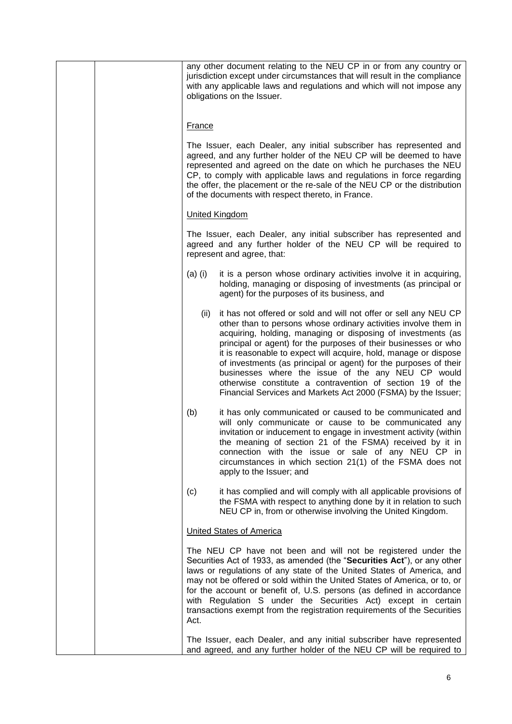|  |               | any other document relating to the NEU CP in or from any country or<br>jurisdiction except under circumstances that will result in the compliance<br>with any applicable laws and regulations and which will not impose any<br>obligations on the Issuer.                                                                                                                                                                                                                                                                                                                                          |
|--|---------------|----------------------------------------------------------------------------------------------------------------------------------------------------------------------------------------------------------------------------------------------------------------------------------------------------------------------------------------------------------------------------------------------------------------------------------------------------------------------------------------------------------------------------------------------------------------------------------------------------|
|  | <b>France</b> |                                                                                                                                                                                                                                                                                                                                                                                                                                                                                                                                                                                                    |
|  |               | The Issuer, each Dealer, any initial subscriber has represented and<br>agreed, and any further holder of the NEU CP will be deemed to have<br>represented and agreed on the date on which he purchases the NEU<br>CP, to comply with applicable laws and regulations in force regarding<br>the offer, the placement or the re-sale of the NEU CP or the distribution<br>of the documents with respect thereto, in France.                                                                                                                                                                          |
|  |               | <b>United Kingdom</b>                                                                                                                                                                                                                                                                                                                                                                                                                                                                                                                                                                              |
|  |               | The Issuer, each Dealer, any initial subscriber has represented and<br>agreed and any further holder of the NEU CP will be required to<br>represent and agree, that:                                                                                                                                                                                                                                                                                                                                                                                                                               |
|  | $(a)$ (i)     | it is a person whose ordinary activities involve it in acquiring,<br>holding, managing or disposing of investments (as principal or<br>agent) for the purposes of its business, and                                                                                                                                                                                                                                                                                                                                                                                                                |
|  | (ii)          | it has not offered or sold and will not offer or sell any NEU CP<br>other than to persons whose ordinary activities involve them in<br>acquiring, holding, managing or disposing of investments (as<br>principal or agent) for the purposes of their businesses or who<br>it is reasonable to expect will acquire, hold, manage or dispose<br>of investments (as principal or agent) for the purposes of their<br>businesses where the issue of the any NEU CP would<br>otherwise constitute a contravention of section 19 of the<br>Financial Services and Markets Act 2000 (FSMA) by the Issuer; |
|  | (b)           | it has only communicated or caused to be communicated and<br>will only communicate or cause to be communicated any<br>invitation or inducement to engage in investment activity (within<br>the meaning of section 21 of the FSMA) received by it in<br>connection with the issue or sale of any NEU CP in<br>circumstances in which section 21(1) of the FSMA does not<br>apply to the Issuer; and                                                                                                                                                                                                 |
|  | (c)           | it has complied and will comply with all applicable provisions of<br>the FSMA with respect to anything done by it in relation to such<br>NEU CP in, from or otherwise involving the United Kingdom.                                                                                                                                                                                                                                                                                                                                                                                                |
|  |               | <b>United States of America</b>                                                                                                                                                                                                                                                                                                                                                                                                                                                                                                                                                                    |
|  | Act.          | The NEU CP have not been and will not be registered under the<br>Securities Act of 1933, as amended (the "Securities Act"), or any other<br>laws or regulations of any state of the United States of America, and<br>may not be offered or sold within the United States of America, or to, or<br>for the account or benefit of, U.S. persons (as defined in accordance<br>with Regulation S under the Securities Act) except in certain<br>transactions exempt from the registration requirements of the Securities                                                                               |
|  |               | The Issuer, each Dealer, and any initial subscriber have represented<br>and agreed, and any further holder of the NEU CP will be required to                                                                                                                                                                                                                                                                                                                                                                                                                                                       |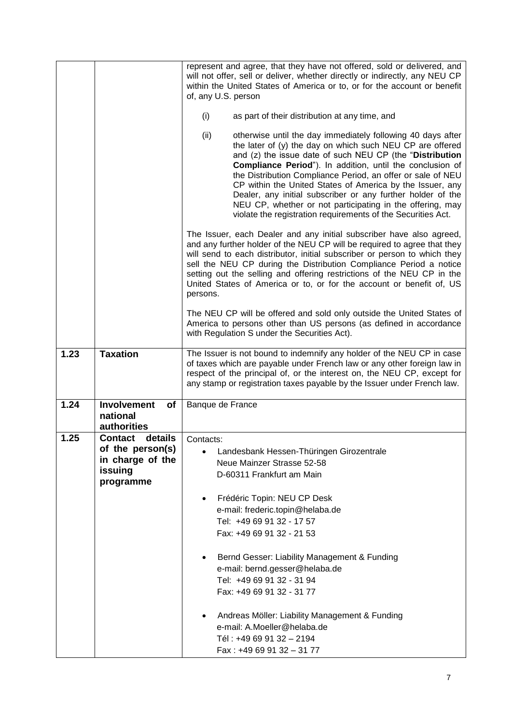|      |                                                     | represent and agree, that they have not offered, sold or delivered, and<br>will not offer, sell or deliver, whether directly or indirectly, any NEU CP<br>within the United States of America or to, or for the account or benefit<br>of, any U.S. person                                                                                                                                                                                                                                                                                                                         |  |
|------|-----------------------------------------------------|-----------------------------------------------------------------------------------------------------------------------------------------------------------------------------------------------------------------------------------------------------------------------------------------------------------------------------------------------------------------------------------------------------------------------------------------------------------------------------------------------------------------------------------------------------------------------------------|--|
|      |                                                     | (i)<br>as part of their distribution at any time, and                                                                                                                                                                                                                                                                                                                                                                                                                                                                                                                             |  |
|      |                                                     | (ii)<br>otherwise until the day immediately following 40 days after<br>the later of (y) the day on which such NEU CP are offered<br>and (z) the issue date of such NEU CP (the "Distribution<br>Compliance Period"). In addition, until the conclusion of<br>the Distribution Compliance Period, an offer or sale of NEU<br>CP within the United States of America by the Issuer, any<br>Dealer, any initial subscriber or any further holder of the<br>NEU CP, whether or not participating in the offering, may<br>violate the registration requirements of the Securities Act. |  |
|      |                                                     | The Issuer, each Dealer and any initial subscriber have also agreed,<br>and any further holder of the NEU CP will be required to agree that they<br>will send to each distributor, initial subscriber or person to which they<br>sell the NEU CP during the Distribution Compliance Period a notice<br>setting out the selling and offering restrictions of the NEU CP in the<br>United States of America or to, or for the account or benefit of, US<br>persons.                                                                                                                 |  |
|      |                                                     | The NEU CP will be offered and sold only outside the United States of<br>America to persons other than US persons (as defined in accordance<br>with Regulation S under the Securities Act).                                                                                                                                                                                                                                                                                                                                                                                       |  |
| 1.23 | <b>Taxation</b>                                     | The Issuer is not bound to indemnify any holder of the NEU CP in case<br>of taxes which are payable under French law or any other foreign law in<br>respect of the principal of, or the interest on, the NEU CP, except for<br>any stamp or registration taxes payable by the Issuer under French law.                                                                                                                                                                                                                                                                            |  |
| 1.24 | <b>Involvement</b><br>of<br>national<br>authorities | Banque de France                                                                                                                                                                                                                                                                                                                                                                                                                                                                                                                                                                  |  |
| 1.25 | details<br><b>Contact</b>                           | Contacts:                                                                                                                                                                                                                                                                                                                                                                                                                                                                                                                                                                         |  |
|      | of the person(s)                                    | Landesbank Hessen-Thüringen Girozentrale                                                                                                                                                                                                                                                                                                                                                                                                                                                                                                                                          |  |
|      | in charge of the                                    | Neue Mainzer Strasse 52-58                                                                                                                                                                                                                                                                                                                                                                                                                                                                                                                                                        |  |
|      | issuing                                             | D-60311 Frankfurt am Main                                                                                                                                                                                                                                                                                                                                                                                                                                                                                                                                                         |  |
|      | programme                                           |                                                                                                                                                                                                                                                                                                                                                                                                                                                                                                                                                                                   |  |
|      |                                                     | Frédéric Topin: NEU CP Desk                                                                                                                                                                                                                                                                                                                                                                                                                                                                                                                                                       |  |
|      |                                                     | $\bullet$                                                                                                                                                                                                                                                                                                                                                                                                                                                                                                                                                                         |  |
|      |                                                     | e-mail: frederic.topin@helaba.de<br>Tel: +49 69 91 32 - 17 57                                                                                                                                                                                                                                                                                                                                                                                                                                                                                                                     |  |
|      |                                                     |                                                                                                                                                                                                                                                                                                                                                                                                                                                                                                                                                                                   |  |
|      |                                                     | Fax: +49 69 91 32 - 21 53                                                                                                                                                                                                                                                                                                                                                                                                                                                                                                                                                         |  |
|      |                                                     | Bernd Gesser: Liability Management & Funding<br>e-mail: bernd.gesser@helaba.de                                                                                                                                                                                                                                                                                                                                                                                                                                                                                                    |  |
|      |                                                     | Tel: +49 69 91 32 - 31 94                                                                                                                                                                                                                                                                                                                                                                                                                                                                                                                                                         |  |
|      |                                                     | Fax: +49 69 91 32 - 31 77                                                                                                                                                                                                                                                                                                                                                                                                                                                                                                                                                         |  |
|      |                                                     | Andreas Möller: Liability Management & Funding                                                                                                                                                                                                                                                                                                                                                                                                                                                                                                                                    |  |
|      |                                                     | e-mail: A.Moeller@helaba.de                                                                                                                                                                                                                                                                                                                                                                                                                                                                                                                                                       |  |
|      |                                                     | Tél: +49 69 91 32 - 2194                                                                                                                                                                                                                                                                                                                                                                                                                                                                                                                                                          |  |
|      |                                                     | Fax: +49 69 91 32 - 31 77                                                                                                                                                                                                                                                                                                                                                                                                                                                                                                                                                         |  |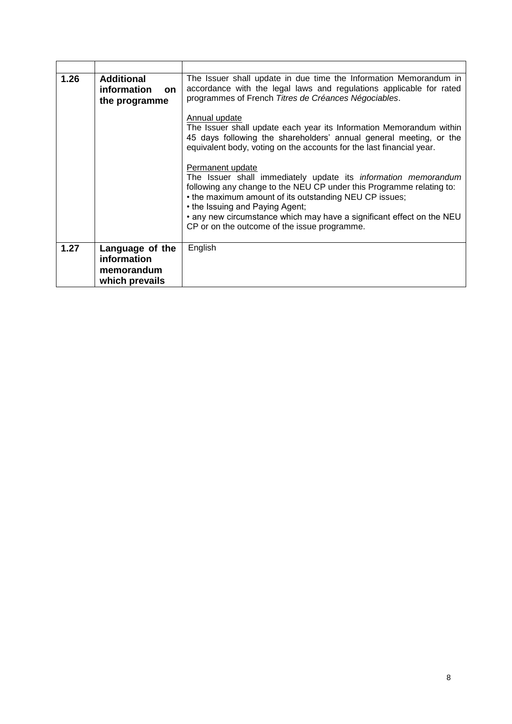| 1.26 | <b>Additional</b><br>information<br><b>on</b><br>the programme | The Issuer shall update in due time the Information Memorandum in<br>accordance with the legal laws and regulations applicable for rated<br>programmes of French Titres de Créances Négociables.                                                                                                                                                                                        |
|------|----------------------------------------------------------------|-----------------------------------------------------------------------------------------------------------------------------------------------------------------------------------------------------------------------------------------------------------------------------------------------------------------------------------------------------------------------------------------|
|      |                                                                | Annual update<br>The Issuer shall update each year its Information Memorandum within<br>45 days following the shareholders' annual general meeting, or the<br>equivalent body, voting on the accounts for the last financial year.                                                                                                                                                      |
|      |                                                                | Permanent update<br>The Issuer shall immediately update its <i>information memorandum</i><br>following any change to the NEU CP under this Programme relating to:<br>• the maximum amount of its outstanding NEU CP issues;<br>• the Issuing and Paying Agent;<br>• any new circumstance which may have a significant effect on the NEU<br>CP or on the outcome of the issue programme. |
| 1.27 | Language of the<br>information<br>memorandum<br>which prevails | English                                                                                                                                                                                                                                                                                                                                                                                 |

è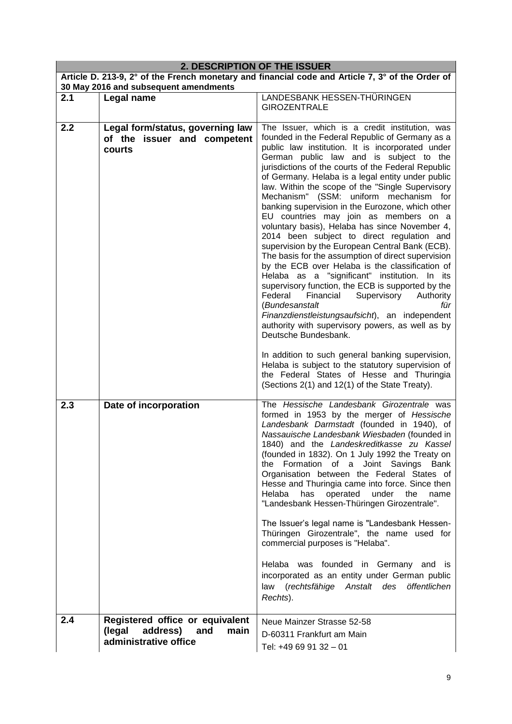| 2. DESCRIPTION OF THE ISSUER |                                                                                            |                                                                                                                                                                                                                                                                                                                                                                                                                                                                                                                                                                                                                                                                                                                                                                                                                                                                                                                                                                                                                                                                                      |  |
|------------------------------|--------------------------------------------------------------------------------------------|--------------------------------------------------------------------------------------------------------------------------------------------------------------------------------------------------------------------------------------------------------------------------------------------------------------------------------------------------------------------------------------------------------------------------------------------------------------------------------------------------------------------------------------------------------------------------------------------------------------------------------------------------------------------------------------------------------------------------------------------------------------------------------------------------------------------------------------------------------------------------------------------------------------------------------------------------------------------------------------------------------------------------------------------------------------------------------------|--|
|                              |                                                                                            | Article D. 213-9, 2° of the French monetary and financial code and Article 7, 3° of the Order of                                                                                                                                                                                                                                                                                                                                                                                                                                                                                                                                                                                                                                                                                                                                                                                                                                                                                                                                                                                     |  |
|                              | 30 May 2016 and subsequent amendments                                                      |                                                                                                                                                                                                                                                                                                                                                                                                                                                                                                                                                                                                                                                                                                                                                                                                                                                                                                                                                                                                                                                                                      |  |
| 2.1                          | Legal name                                                                                 | LANDESBANK HESSEN-THÜRINGEN<br><b>GIROZENTRALE</b>                                                                                                                                                                                                                                                                                                                                                                                                                                                                                                                                                                                                                                                                                                                                                                                                                                                                                                                                                                                                                                   |  |
| 2.2                          | Legal form/status, governing law<br>of the issuer and competent<br>courts                  | The Issuer, which is a credit institution, was<br>founded in the Federal Republic of Germany as a<br>public law institution. It is incorporated under<br>German public law and is subject to the<br>jurisdictions of the courts of the Federal Republic<br>of Germany. Helaba is a legal entity under public<br>law. Within the scope of the "Single Supervisory<br>Mechanism" (SSM: uniform mechanism for<br>banking supervision in the Eurozone, which other<br>EU countries may join as members on a<br>voluntary basis), Helaba has since November 4,<br>2014 been subject to direct regulation and<br>supervision by the European Central Bank (ECB).<br>The basis for the assumption of direct supervision<br>by the ECB over Helaba is the classification of<br>Helaba as a "significant" institution. In its<br>supervisory function, the ECB is supported by the<br>Federal<br>Financial<br>Supervisory<br>Authority<br>(Bundesanstalt<br>für<br>Finanzdienstleistungsaufsicht), an independent<br>authority with supervisory powers, as well as by<br>Deutsche Bundesbank. |  |
|                              |                                                                                            | In addition to such general banking supervision,<br>Helaba is subject to the statutory supervision of<br>the Federal States of Hesse and Thuringia<br>(Sections 2(1) and 12(1) of the State Treaty).                                                                                                                                                                                                                                                                                                                                                                                                                                                                                                                                                                                                                                                                                                                                                                                                                                                                                 |  |
| 2.3                          | Date of incorporation                                                                      | The Hessische Landesbank Girozentrale was<br>formed in 1953 by the merger of Hessische<br>Landesbank Darmstadt (founded in 1940), of<br>Nassauische Landesbank Wiesbaden (founded in<br>1840) and the Landeskreditkasse zu Kassel<br>(founded in 1832). On 1 July 1992 the Treaty on<br>the Formation of a Joint Savings Bank<br>Organisation between the Federal States of<br>Hesse and Thuringia came into force. Since then<br>Helaba<br>has<br>operated<br>under the<br>name<br>"Landesbank Hessen-Thüringen Girozentrale".<br>The Issuer's legal name is "Landesbank Hessen-<br>Thüringen Girozentrale", the name used for<br>commercial purposes is "Helaba".<br>Helaba was founded in Germany and is<br>incorporated as an entity under German public<br>law (rechtsfähige Anstalt des<br>öffentlichen                                                                                                                                                                                                                                                                        |  |
|                              |                                                                                            | Rechts).                                                                                                                                                                                                                                                                                                                                                                                                                                                                                                                                                                                                                                                                                                                                                                                                                                                                                                                                                                                                                                                                             |  |
| 2.4                          | Registered office or equivalent<br>(legal<br>address) and<br>main<br>administrative office | Neue Mainzer Strasse 52-58<br>D-60311 Frankfurt am Main<br>Tel: +49 69 91 32 - 01                                                                                                                                                                                                                                                                                                                                                                                                                                                                                                                                                                                                                                                                                                                                                                                                                                                                                                                                                                                                    |  |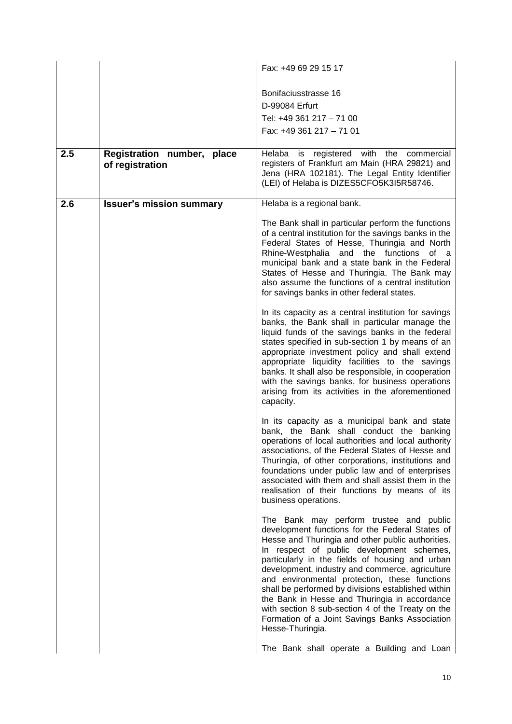|     |                                               | Fax: +49 69 29 15 17                                                                                                                                                                                                                                                                                                                                                                                                                                                                                                                                                                  |
|-----|-----------------------------------------------|---------------------------------------------------------------------------------------------------------------------------------------------------------------------------------------------------------------------------------------------------------------------------------------------------------------------------------------------------------------------------------------------------------------------------------------------------------------------------------------------------------------------------------------------------------------------------------------|
|     |                                               | Bonifaciusstrasse 16                                                                                                                                                                                                                                                                                                                                                                                                                                                                                                                                                                  |
|     |                                               | D-99084 Erfurt                                                                                                                                                                                                                                                                                                                                                                                                                                                                                                                                                                        |
|     |                                               | Tel: +49 361 217 - 71 00                                                                                                                                                                                                                                                                                                                                                                                                                                                                                                                                                              |
|     |                                               | Fax: +49 361 217 - 71 01                                                                                                                                                                                                                                                                                                                                                                                                                                                                                                                                                              |
| 2.5 | Registration number, place<br>of registration | Helaba is<br>registered with the<br>commercial<br>registers of Frankfurt am Main (HRA 29821) and<br>Jena (HRA 102181). The Legal Entity Identifier<br>(LEI) of Helaba is DIZES5CFO5K3I5R58746.                                                                                                                                                                                                                                                                                                                                                                                        |
| 2.6 | <b>Issuer's mission summary</b>               | Helaba is a regional bank.                                                                                                                                                                                                                                                                                                                                                                                                                                                                                                                                                            |
|     |                                               | The Bank shall in particular perform the functions<br>of a central institution for the savings banks in the<br>Federal States of Hesse, Thuringia and North<br>Rhine-Westphalia and the functions<br>of a<br>municipal bank and a state bank in the Federal<br>States of Hesse and Thuringia. The Bank may<br>also assume the functions of a central institution<br>for savings banks in other federal states.<br>In its capacity as a central institution for savings                                                                                                                |
|     |                                               | banks, the Bank shall in particular manage the<br>liquid funds of the savings banks in the federal<br>states specified in sub-section 1 by means of an<br>appropriate investment policy and shall extend<br>appropriate liquidity facilities to the savings<br>banks. It shall also be responsible, in cooperation<br>with the savings banks, for business operations<br>arising from its activities in the aforementioned<br>capacity.                                                                                                                                               |
|     |                                               | In its capacity as a municipal bank and state<br>bank, the Bank shall conduct the banking<br>operations of local authorities and local authority<br>associations, of the Federal States of Hesse and<br>Thuringia, of other corporations, institutions and<br>foundations under public law and of enterprises<br>associated with them and shall assist them in the<br>realisation of their functions by means of its<br>business operations.                                                                                                                                          |
|     |                                               | The Bank may perform trustee and public<br>development functions for the Federal States of<br>Hesse and Thuringia and other public authorities.<br>In respect of public development schemes,<br>particularly in the fields of housing and urban<br>development, industry and commerce, agriculture<br>and environmental protection, these functions<br>shall be performed by divisions established within<br>the Bank in Hesse and Thuringia in accordance<br>with section 8 sub-section 4 of the Treaty on the<br>Formation of a Joint Savings Banks Association<br>Hesse-Thuringia. |
|     |                                               | The Bank shall operate a Building and Loan                                                                                                                                                                                                                                                                                                                                                                                                                                                                                                                                            |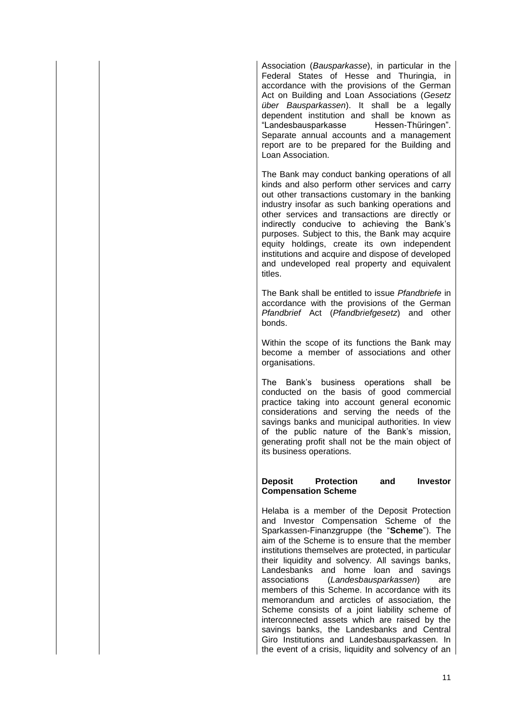Association (*Bausparkasse*), in particular in the Federal States of Hesse and Thuringia, in accordance with the provisions of the German Act on Building and Loan Associations (*Gesetz über Bausparkassen*). It shall be a legally dependent institution and shall be known as "Landesbausparkasse Hessen-Thüringen". Separate annual accounts and a management report are to be prepared for the Building and Loan Association.

The Bank may conduct banking operations of all kinds and also perform other services and carry out other transactions customary in the banking industry insofar as such banking operations and other services and transactions are directly or indirectly conducive to achieving the Bank's purposes. Subject to this, the Bank may acquire equity holdings, create its own independent institutions and acquire and dispose of developed and undeveloped real property and equivalent titles.

The Bank shall be entitled to issue *Pfandbriefe* in accordance with the provisions of the German *Pfandbrief* Act (*Pfandbriefgesetz*) and other bonds.

Within the scope of its functions the Bank may become a member of associations and other organisations.

The Bank's business operations shall be conducted on the basis of good commercial practice taking into account general economic considerations and serving the needs of the savings banks and municipal authorities. In view of the public nature of the Bank's mission, generating profit shall not be the main object of its business operations.

**Deposit Protection and Investor Compensation Scheme**

Helaba is a member of the Deposit Protection and Investor Compensation Scheme of the Sparkassen-Finanzgruppe (the "**Scheme**"). The aim of the Scheme is to ensure that the member institutions themselves are protected, in particular their liquidity and solvency. All savings banks, Landesbanks and home loan and savings associations (*Landesbausparkassen*) are members of this Scheme. In accordance with its memorandum and arcticles of association, the Scheme consists of a joint liability scheme of interconnected assets which are raised by the savings banks, the Landesbanks and Central Giro Institutions and Landesbausparkassen. In the event of a crisis, liquidity and solvency of an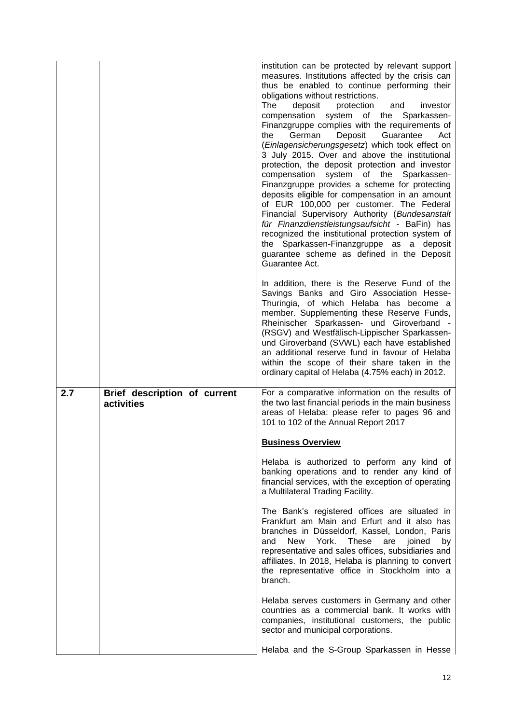|     |                                            | institution can be protected by relevant support<br>measures. Institutions affected by the crisis can<br>thus be enabled to continue performing their<br>obligations without restrictions.<br>The<br>deposit<br>protection<br>investor<br>and<br>compensation system of the Sparkassen-<br>Finanzgruppe complies with the requirements of<br>German<br>Deposit<br>Guarantee<br>Act<br>the<br>(Einlagensicherungsgesetz) which took effect on<br>3 July 2015. Over and above the institutional<br>protection, the deposit protection and investor<br>compensation system of the Sparkassen-<br>Finanzgruppe provides a scheme for protecting<br>deposits eligible for compensation in an amount<br>of EUR 100,000 per customer. The Federal<br>Financial Supervisory Authority (Bundesanstalt<br>für Finanzdienstleistungsaufsicht - BaFin) has<br>recognized the institutional protection system of<br>the Sparkassen-Finanzgruppe as a deposit<br>guarantee scheme as defined in the Deposit<br>Guarantee Act.<br>In addition, there is the Reserve Fund of the<br>Savings Banks and Giro Association Hesse-<br>Thuringia, of which Helaba has become a<br>member. Supplementing these Reserve Funds,<br>Rheinischer Sparkassen- und Giroverband -<br>(RSGV) and Westfälisch-Lippischer Sparkassen-<br>und Giroverband (SVWL) each have established<br>an additional reserve fund in favour of Helaba<br>within the scope of their share taken in the<br>ordinary capital of Helaba (4.75% each) in 2012. |
|-----|--------------------------------------------|------------------------------------------------------------------------------------------------------------------------------------------------------------------------------------------------------------------------------------------------------------------------------------------------------------------------------------------------------------------------------------------------------------------------------------------------------------------------------------------------------------------------------------------------------------------------------------------------------------------------------------------------------------------------------------------------------------------------------------------------------------------------------------------------------------------------------------------------------------------------------------------------------------------------------------------------------------------------------------------------------------------------------------------------------------------------------------------------------------------------------------------------------------------------------------------------------------------------------------------------------------------------------------------------------------------------------------------------------------------------------------------------------------------------------------------------------------------------------------------------------------|
| 2.7 | Brief description of current<br>activities | For a comparative information on the results of<br>the two last financial periods in the main business<br>areas of Helaba: please refer to pages 96 and<br>101 to 102 of the Annual Report 2017                                                                                                                                                                                                                                                                                                                                                                                                                                                                                                                                                                                                                                                                                                                                                                                                                                                                                                                                                                                                                                                                                                                                                                                                                                                                                                            |
|     |                                            | <b>Business Overview</b>                                                                                                                                                                                                                                                                                                                                                                                                                                                                                                                                                                                                                                                                                                                                                                                                                                                                                                                                                                                                                                                                                                                                                                                                                                                                                                                                                                                                                                                                                   |
|     |                                            | Helaba is authorized to perform any kind of<br>banking operations and to render any kind of<br>financial services, with the exception of operating<br>a Multilateral Trading Facility.                                                                                                                                                                                                                                                                                                                                                                                                                                                                                                                                                                                                                                                                                                                                                                                                                                                                                                                                                                                                                                                                                                                                                                                                                                                                                                                     |
|     |                                            | The Bank's registered offices are situated in<br>Frankfurt am Main and Erfurt and it also has<br>branches in Düsseldorf, Kassel, London, Paris<br>New<br>York. These<br>are<br>joined<br>and<br>by<br>representative and sales offices, subsidiaries and<br>affiliates. In 2018, Helaba is planning to convert<br>the representative office in Stockholm into a<br>branch.                                                                                                                                                                                                                                                                                                                                                                                                                                                                                                                                                                                                                                                                                                                                                                                                                                                                                                                                                                                                                                                                                                                                 |
|     |                                            | Helaba serves customers in Germany and other<br>countries as a commercial bank. It works with<br>companies, institutional customers, the public<br>sector and municipal corporations.                                                                                                                                                                                                                                                                                                                                                                                                                                                                                                                                                                                                                                                                                                                                                                                                                                                                                                                                                                                                                                                                                                                                                                                                                                                                                                                      |
|     |                                            | Helaba and the S-Group Sparkassen in Hesse                                                                                                                                                                                                                                                                                                                                                                                                                                                                                                                                                                                                                                                                                                                                                                                                                                                                                                                                                                                                                                                                                                                                                                                                                                                                                                                                                                                                                                                                 |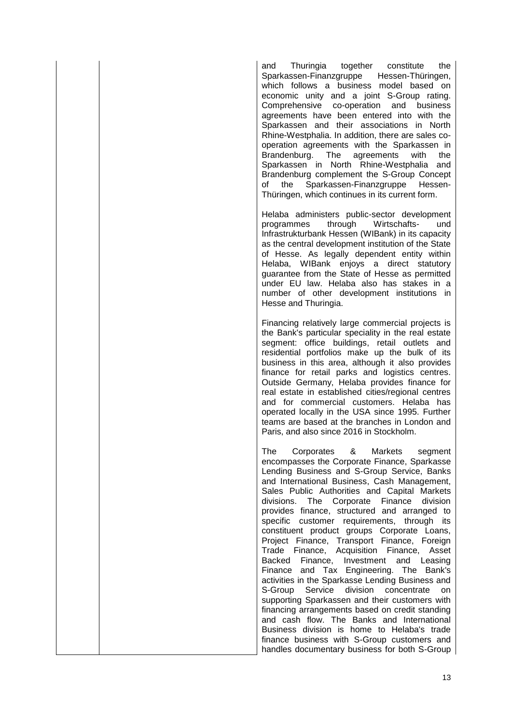and Thuringia together constitute the Sparkassen-Finanzgruppe Hessen-Thüringen, which follows a business model based on economic unity and a joint S-Group rating. Comprehensive co-operation and business agreements have been entered into with the Sparkassen and their associations in North Rhine-Westphalia. In addition, there are sales cooperation agreements with the Sparkassen in Brandenburg. The agreements with the Sparkassen in North Rhine-Westphalia and Brandenburg complement the S-Group Concept of the Sparkassen-Finanzgruppe Hessen-Thüringen, which continues in its current form.

Helaba administers public-sector development programmes through Wirtschafts- und Infrastrukturbank Hessen (WIBank) in its capacity as the central development institution of the State of Hesse. As legally dependent entity within Helaba, WIBank enjoys a direct statutory guarantee from the State of Hesse as permitted under EU law. Helaba also has stakes in a number of other development institutions in Hesse and Thuringia.

Financing relatively large commercial projects is the Bank's particular speciality in the real estate segment: office buildings, retail outlets and residential portfolios make up the bulk of its business in this area, although it also provides finance for retail parks and logistics centres. Outside Germany, Helaba provides finance for real estate in established cities/regional centres and for commercial customers. Helaba has operated locally in the USA since 1995. Further teams are based at the branches in London and Paris, and also since 2016 in Stockholm.

The Corporates & Markets segment encompasses the Corporate Finance, Sparkasse Lending Business and S-Group Service, Banks and International Business, Cash Management, Sales Public Authorities and Capital Markets divisions. The Corporate Finance division provides finance, structured and arranged to specific customer requirements, through its constituent product groups Corporate Loans, Project Finance, Transport Finance, Foreign Trade Finance, Acquisition Finance, Asset Backed Finance, Investment and Leasing Finance and Tax Engineering. The Bank's activities in the Sparkasse Lending Business and S-Group Service division concentrate on supporting Sparkassen and their customers with financing arrangements based on credit standing and cash flow. The Banks and International Business division is home to Helaba's trade finance business with S-Group customers and handles documentary business for both S-Group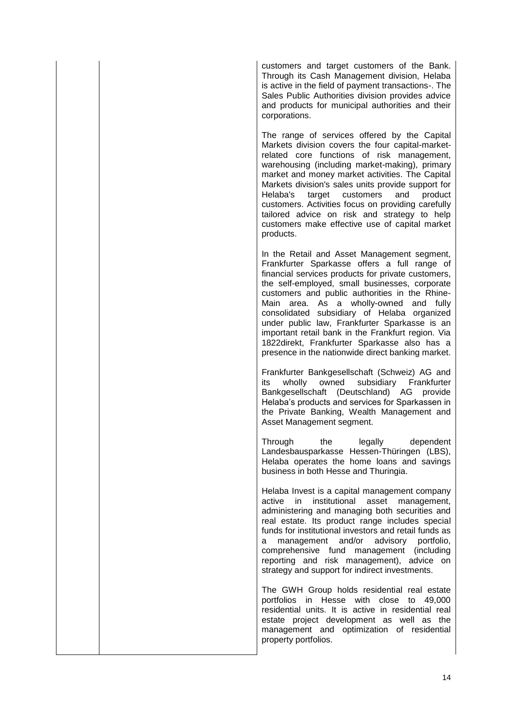customers and target customers of the Bank. Through its Cash Management division, Helaba is active in the field of payment transactions-. The Sales Public Authorities division provides advice and products for municipal authorities and their corporations.

The range of services offered by the Capital Markets division covers the four capital-marketrelated core functions of risk management, warehousing (including market-making), primary market and money market activities. The Capital Markets division's sales units provide support for Helaba's target customers and product customers. Activities focus on providing carefully tailored advice on risk and strategy to help customers make effective use of capital market products.

In the Retail and Asset Management segment, Frankfurter Sparkasse offers a full range of financial services products for private customers, the self-employed, small businesses, corporate customers and public authorities in the Rhine-Main area. As a wholly-owned and fully consolidated subsidiary of Helaba organized under public law, Frankfurter Sparkasse is an important retail bank in the Frankfurt region. Via 1822direkt, Frankfurter Sparkasse also has a presence in the nationwide direct banking market.

Frankfurter Bankgesellschaft (Schweiz) AG and its wholly owned subsidiary Frankfurter Bankgesellschaft (Deutschland) AG provide Helaba's products and services for Sparkassen in the Private Banking, Wealth Management and Asset Management segment.

Through the legally dependent Landesbausparkasse Hessen-Thüringen (LBS), Helaba operates the home loans and savings business in both Hesse and Thuringia.

Helaba Invest is a capital management company active in institutional asset management, administering and managing both securities and real estate. Its product range includes special funds for institutional investors and retail funds as a management and/or advisory portfolio, comprehensive fund management (including reporting and risk management), advice on strategy and support for indirect investments.

The GWH Group holds residential real estate portfolios in Hesse with close to 49,000 residential units. It is active in residential real estate project development as well as the management and optimization of residential property portfolios.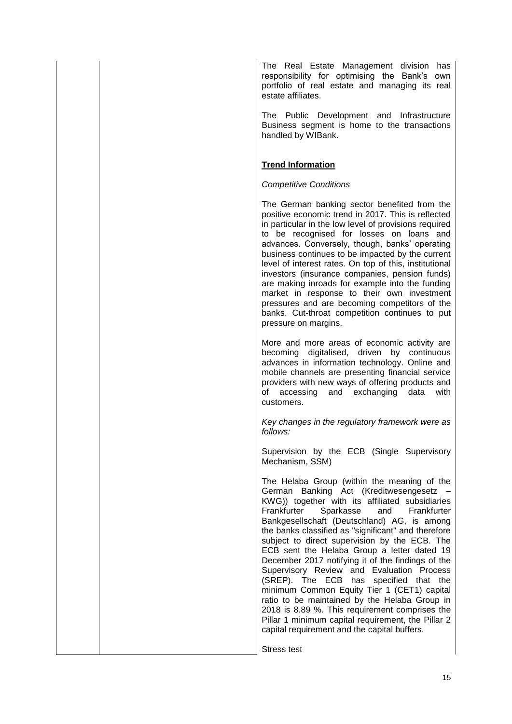The Real Estate Management division has responsibility for optimising the Bank's own portfolio of real estate and managing its real estate affiliates.

The Public Development and Infrastructure Business segment is home to the transactions handled by WIBank.

### **Trend Information**

#### *Competitive Conditions*

The German banking sector benefited from the positive economic trend in 2017. This is reflected in particular in the low level of provisions required to be recognised for losses on loans and advances. Conversely, though, banks' operating business continues to be impacted by the current level of interest rates. On top of this, institutional investors (insurance companies, pension funds) are making inroads for example into the funding market in response to their own investment pressures and are becoming competitors of the banks. Cut-throat competition continues to put pressure on margins.

More and more areas of economic activity are becoming digitalised, driven by continuous advances in information technology. Online and mobile channels are presenting financial service providers with new ways of offering products and of accessing and exchanging data with customers.

*Key changes in the regulatory framework were as follows:*

Supervision by the ECB (Single Supervisory Mechanism, SSM)

The Helaba Group (within the meaning of the German Banking Act (Kreditwesengesetz – KWG)) together with its affiliated subsidiaries Frankfurter Sparkasse and Frankfurter Bankgesellschaft (Deutschland) AG, is among the banks classified as "significant" and therefore subject to direct supervision by the ECB. The ECB sent the Helaba Group a letter dated 19 December 2017 notifying it of the findings of the Supervisory Review and Evaluation Process (SREP). The ECB has specified that the minimum Common Equity Tier 1 (CET1) capital ratio to be maintained by the Helaba Group in 2018 is 8.89 %. This requirement comprises the Pillar 1 minimum capital requirement, the Pillar 2 capital requirement and the capital buffers.

Stress test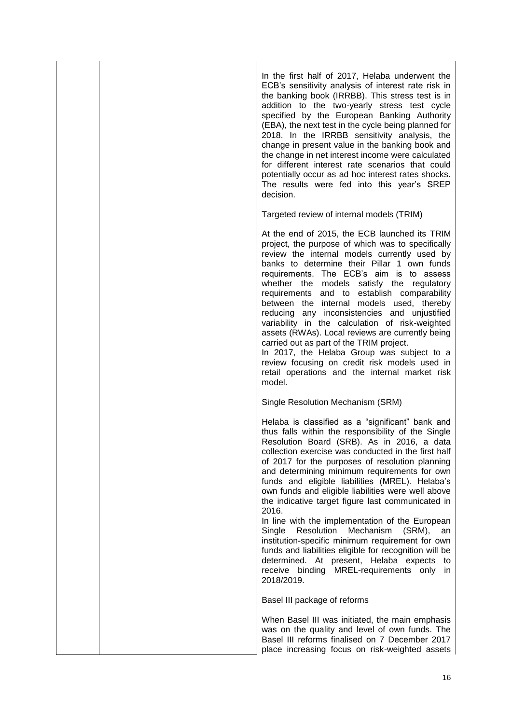In the first half of 2017, Helaba underwent the ECB's sensitivity analysis of interest rate risk in the banking book (IRRBB). This stress test is in addition to the two-yearly stress test cycle specified by the European Banking Authority (EBA), the next test in the cycle being planned for 2018. In the IRRBB sensitivity analysis, the change in present value in the banking book and the change in net interest income were calculated for different interest rate scenarios that could potentially occur as ad hoc interest rates shocks. The results were fed into this year's SREP decision.

Targeted review of internal models (TRIM)

At the end of 2015, the ECB launched its TRIM project, the purpose of which was to specifically review the internal models currently used by banks to determine their Pillar 1 own funds requirements. The ECB's aim is to assess whether the models satisfy the regulatory requirements and to establish comparability between the internal models used, thereby reducing any inconsistencies and unjustified variability in the calculation of risk-weighted assets (RWAs). Local reviews are currently being carried out as part of the TRIM project.

In 2017, the Helaba Group was subject to a review focusing on credit risk models used in retail operations and the internal market risk model.

Single Resolution Mechanism (SRM)

Helaba is classified as a "significant" bank and thus falls within the responsibility of the Single Resolution Board (SRB). As in 2016, a data collection exercise was conducted in the first half of 2017 for the purposes of resolution planning and determining minimum requirements for own funds and eligible liabilities (MREL). Helaba's own funds and eligible liabilities were well above the indicative target figure last communicated in 2016.

In line with the implementation of the European Single Resolution Mechanism (SRM), an institution-specific minimum requirement for own funds and liabilities eligible for recognition will be determined. At present, Helaba expects to receive binding MREL-requirements only in 2018/2019.

Basel III package of reforms

When Basel III was initiated, the main emphasis was on the quality and level of own funds. The Basel III reforms finalised on 7 December 2017 place increasing focus on risk-weighted assets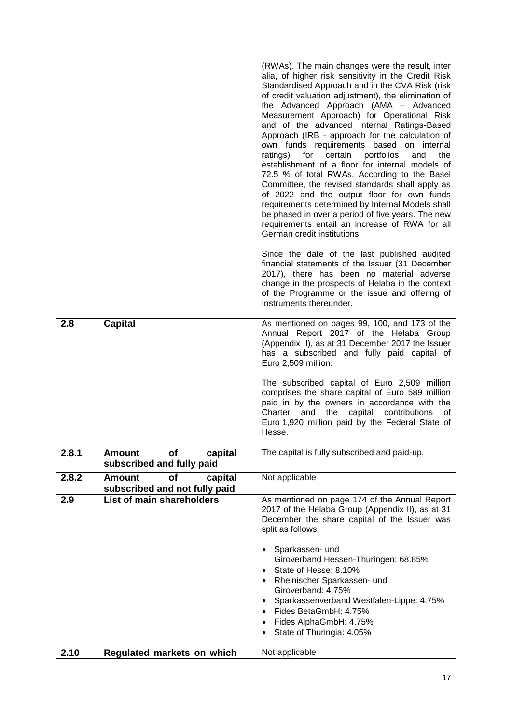|       |                                                                 | (RWAs). The main changes were the result, inter<br>alia, of higher risk sensitivity in the Credit Risk<br>Standardised Approach and in the CVA Risk (risk<br>of credit valuation adjustment), the elimination of<br>the Advanced Approach (AMA - Advanced<br>Measurement Approach) for Operational Risk<br>and of the advanced Internal Ratings-Based<br>Approach (IRB - approach for the calculation of<br>own funds requirements based on internal<br>portfolios<br>ratings)<br>for<br>certain<br>and<br>the<br>establishment of a floor for internal models of<br>72.5 % of total RWAs. According to the Basel<br>Committee, the revised standards shall apply as<br>of 2022 and the output floor for own funds<br>requirements determined by Internal Models shall<br>be phased in over a period of five years. The new<br>requirements entail an increase of RWA for all<br>German credit institutions.<br>Since the date of the last published audited<br>financial statements of the Issuer (31 December |
|-------|-----------------------------------------------------------------|-----------------------------------------------------------------------------------------------------------------------------------------------------------------------------------------------------------------------------------------------------------------------------------------------------------------------------------------------------------------------------------------------------------------------------------------------------------------------------------------------------------------------------------------------------------------------------------------------------------------------------------------------------------------------------------------------------------------------------------------------------------------------------------------------------------------------------------------------------------------------------------------------------------------------------------------------------------------------------------------------------------------|
|       |                                                                 | 2017), there has been no material adverse<br>change in the prospects of Helaba in the context<br>of the Programme or the issue and offering of<br>Instruments thereunder.                                                                                                                                                                                                                                                                                                                                                                                                                                                                                                                                                                                                                                                                                                                                                                                                                                       |
| 2.8   | <b>Capital</b>                                                  | As mentioned on pages 99, 100, and 173 of the<br>Annual Report 2017 of the Helaba Group<br>(Appendix II), as at 31 December 2017 the Issuer<br>has a subscribed and fully paid capital of<br>Euro 2,509 million.<br>The subscribed capital of Euro 2,509 million<br>comprises the share capital of Euro 589 million<br>paid in by the owners in accordance with the<br>Charter and the<br>capital contributions<br>of<br>Euro 1,920 million paid by the Federal State of<br>Hesse.                                                                                                                                                                                                                                                                                                                                                                                                                                                                                                                              |
| 2.8.1 | of<br><b>Amount</b><br>capital<br>subscribed and fully paid     | The capital is fully subscribed and paid-up.                                                                                                                                                                                                                                                                                                                                                                                                                                                                                                                                                                                                                                                                                                                                                                                                                                                                                                                                                                    |
| 2.8.2 | of<br>capital<br><b>Amount</b><br>subscribed and not fully paid | Not applicable                                                                                                                                                                                                                                                                                                                                                                                                                                                                                                                                                                                                                                                                                                                                                                                                                                                                                                                                                                                                  |
| 2.9   | List of main shareholders                                       | As mentioned on page 174 of the Annual Report<br>2017 of the Helaba Group (Appendix II), as at 31<br>December the share capital of the Issuer was<br>split as follows:<br>Sparkassen- und<br>Giroverband Hessen-Thüringen: 68.85%<br>State of Hesse: 8.10%<br>Rheinischer Sparkassen- und<br>Giroverband: 4.75%<br>Sparkassenverband Westfalen-Lippe: 4.75%<br>Fides BetaGmbH: 4.75%<br>Fides AlphaGmbH: 4.75%<br>$\bullet$<br>State of Thuringia: 4.05%<br>$\bullet$                                                                                                                                                                                                                                                                                                                                                                                                                                                                                                                                           |
| 2.10  | Regulated markets on which                                      | Not applicable                                                                                                                                                                                                                                                                                                                                                                                                                                                                                                                                                                                                                                                                                                                                                                                                                                                                                                                                                                                                  |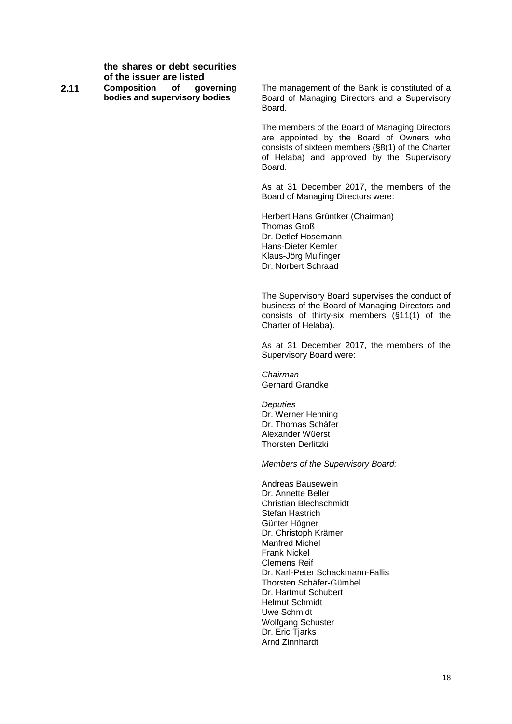| the shares or debt securities |                                                                                                                                                                                                                                                                                                                                                                                                             |
|-------------------------------|-------------------------------------------------------------------------------------------------------------------------------------------------------------------------------------------------------------------------------------------------------------------------------------------------------------------------------------------------------------------------------------------------------------|
|                               |                                                                                                                                                                                                                                                                                                                                                                                                             |
| bodies and supervisory bodies | The management of the Bank is constituted of a<br>Board of Managing Directors and a Supervisory<br>Board.                                                                                                                                                                                                                                                                                                   |
|                               | The members of the Board of Managing Directors<br>are appointed by the Board of Owners who<br>consists of sixteen members (§8(1) of the Charter<br>of Helaba) and approved by the Supervisory<br>Board.                                                                                                                                                                                                     |
|                               | As at 31 December 2017, the members of the<br>Board of Managing Directors were:                                                                                                                                                                                                                                                                                                                             |
|                               | Herbert Hans Grüntker (Chairman)<br>Thomas Groß<br>Dr. Detlef Hosemann<br>Hans-Dieter Kemler<br>Klaus-Jörg Mulfinger<br>Dr. Norbert Schraad                                                                                                                                                                                                                                                                 |
|                               | The Supervisory Board supervises the conduct of<br>business of the Board of Managing Directors and<br>consists of thirty-six members (§11(1) of the<br>Charter of Helaba).                                                                                                                                                                                                                                  |
|                               | As at 31 December 2017, the members of the<br>Supervisory Board were:                                                                                                                                                                                                                                                                                                                                       |
|                               | Chairman<br><b>Gerhard Grandke</b>                                                                                                                                                                                                                                                                                                                                                                          |
|                               | Deputies<br>Dr. Werner Henning<br>Dr. Thomas Schäfer<br>Alexander Wüerst<br><b>Thorsten Derlitzki</b>                                                                                                                                                                                                                                                                                                       |
|                               | Members of the Supervisory Board:                                                                                                                                                                                                                                                                                                                                                                           |
|                               | Andreas Bausewein<br>Dr. Annette Beller<br><b>Christian Blechschmidt</b><br>Stefan Hastrich<br>Günter Högner<br>Dr. Christoph Krämer<br><b>Manfred Michel</b><br><b>Frank Nickel</b><br><b>Clemens Reif</b><br>Dr. Karl-Peter Schackmann-Fallis<br>Thorsten Schäfer-Gümbel<br>Dr. Hartmut Schubert<br><b>Helmut Schmidt</b><br>Uwe Schmidt<br><b>Wolfgang Schuster</b><br>Dr. Eric Tjarks<br>Arnd Zinnhardt |
|                               | of the issuer are listed<br><b>Composition</b><br>of<br>governing                                                                                                                                                                                                                                                                                                                                           |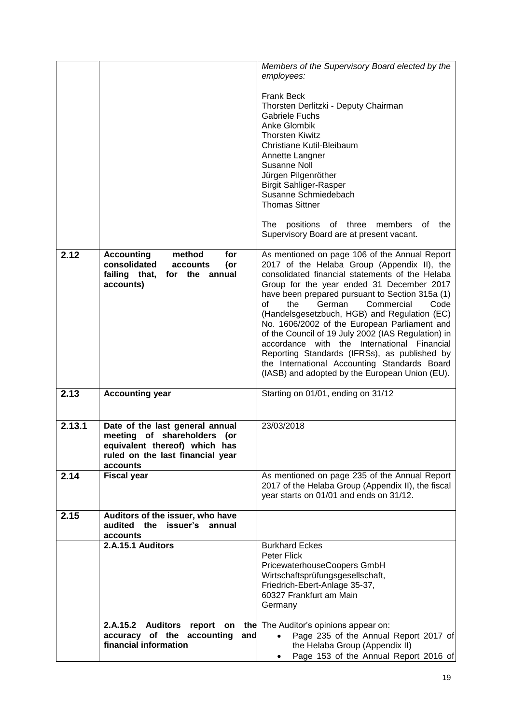|        |                                                                                                                                                 | Members of the Supervisory Board elected by the                                                                                                                                                                                                                                                                                                                                                                                                                                                                                                                                                                                                     |
|--------|-------------------------------------------------------------------------------------------------------------------------------------------------|-----------------------------------------------------------------------------------------------------------------------------------------------------------------------------------------------------------------------------------------------------------------------------------------------------------------------------------------------------------------------------------------------------------------------------------------------------------------------------------------------------------------------------------------------------------------------------------------------------------------------------------------------------|
|        |                                                                                                                                                 | employees:                                                                                                                                                                                                                                                                                                                                                                                                                                                                                                                                                                                                                                          |
|        |                                                                                                                                                 | <b>Frank Beck</b><br>Thorsten Derlitzki - Deputy Chairman<br><b>Gabriele Fuchs</b><br>Anke Glombik<br><b>Thorsten Kiwitz</b><br>Christiane Kutil-Bleibaum<br>Annette Langner<br><b>Susanne Noll</b><br>Jürgen Pilgenröther<br><b>Birgit Sahliger-Rasper</b><br>Susanne Schmiedebach<br><b>Thomas Sittner</b><br>positions of three<br>members<br>the<br>The<br>оf                                                                                                                                                                                                                                                                                   |
|        |                                                                                                                                                 | Supervisory Board are at present vacant.                                                                                                                                                                                                                                                                                                                                                                                                                                                                                                                                                                                                            |
| 2.12   | <b>Accounting</b><br>method<br>for<br>consolidated<br>(or<br>accounts<br>failing that,<br>for the annual<br>accounts)                           | As mentioned on page 106 of the Annual Report<br>2017 of the Helaba Group (Appendix II), the<br>consolidated financial statements of the Helaba<br>Group for the year ended 31 December 2017<br>have been prepared pursuant to Section 315a (1)<br>of<br>the<br>German<br>Commercial<br>Code<br>(Handelsgesetzbuch, HGB) and Regulation (EC)<br>No. 1606/2002 of the European Parliament and<br>of the Council of 19 July 2002 (IAS Regulation) in<br>accordance with the International Financial<br>Reporting Standards (IFRSs), as published by<br>the International Accounting Standards Board<br>(IASB) and adopted by the European Union (EU). |
| 2.13   | <b>Accounting year</b>                                                                                                                          | Starting on 01/01, ending on 31/12                                                                                                                                                                                                                                                                                                                                                                                                                                                                                                                                                                                                                  |
| 2.13.1 | Date of the last general annual<br>meeting of shareholders (or<br>equivalent thereof) which has<br>ruled on the last financial year<br>accounts | 23/03/2018                                                                                                                                                                                                                                                                                                                                                                                                                                                                                                                                                                                                                                          |
| 2.14   | <b>Fiscal year</b>                                                                                                                              | As mentioned on page 235 of the Annual Report<br>2017 of the Helaba Group (Appendix II), the fiscal<br>year starts on 01/01 and ends on 31/12.                                                                                                                                                                                                                                                                                                                                                                                                                                                                                                      |
| 2.15   | Auditors of the issuer, who have<br>audited the issuer's<br>annual<br>accounts                                                                  |                                                                                                                                                                                                                                                                                                                                                                                                                                                                                                                                                                                                                                                     |
|        | 2.A.15.1 Auditors                                                                                                                               | <b>Burkhard Eckes</b><br><b>Peter Flick</b><br>PricewaterhouseCoopers GmbH<br>Wirtschaftsprüfungsgesellschaft,<br>Friedrich-Ebert-Anlage 35-37,<br>60327 Frankfurt am Main<br>Germany                                                                                                                                                                                                                                                                                                                                                                                                                                                               |
|        | <b>Auditors</b><br>2.A.15.2<br>report<br>the<br>on<br>accuracy of the<br>accounting<br>and<br>financial information                             | The Auditor's opinions appear on:<br>Page 235 of the Annual Report 2017 of<br>the Helaba Group (Appendix II)<br>Page 153 of the Annual Report 2016 of                                                                                                                                                                                                                                                                                                                                                                                                                                                                                               |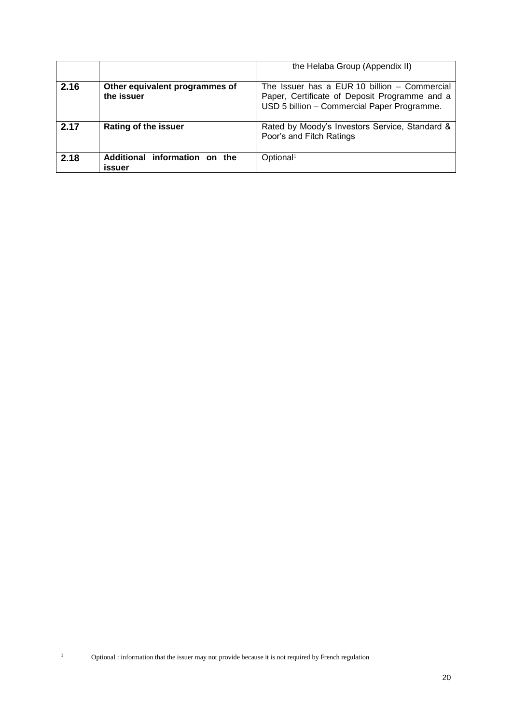|      |                                              | the Helaba Group (Appendix II)                                                                                                               |
|------|----------------------------------------------|----------------------------------------------------------------------------------------------------------------------------------------------|
| 2.16 | Other equivalent programmes of<br>the issuer | The Issuer has a EUR 10 billion - Commercial<br>Paper, Certificate of Deposit Programme and a<br>USD 5 billion - Commercial Paper Programme. |
| 2.17 | <b>Rating of the issuer</b>                  | Rated by Moody's Investors Service, Standard &<br>Poor's and Fitch Ratings                                                                   |
| 2.18 | Additional information on the<br>issuer      | Optional <sup>1</sup>                                                                                                                        |

 $\bar{1}$ 

<sup>1</sup> Optional : information that the issuer may not provide because it is not required by French regulation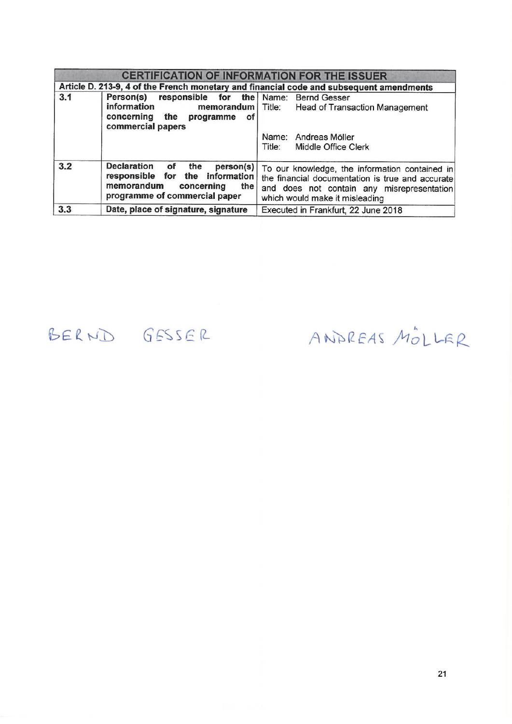|     | <b>CERTIFICATION OF INFORMATION FOR THE ISSUER</b>                                                                                                    |                                                                                                                                                                                    |  |
|-----|-------------------------------------------------------------------------------------------------------------------------------------------------------|------------------------------------------------------------------------------------------------------------------------------------------------------------------------------------|--|
|     | Article D. 213-9, 4 of the French monetary and financial code and subsequent amendments                                                               |                                                                                                                                                                                    |  |
| 3.1 | responsible for the Name: Bernd Gesser<br>Person(s)<br>information<br>concerning<br>the programme<br>Οf<br>commercial papers                          | <b>memorandum</b>   Title: Head of Transaction Management                                                                                                                          |  |
|     |                                                                                                                                                       | Andreas Möller<br>Name:<br>Title:<br>Middle Office Clerk                                                                                                                           |  |
| 3.2 | <b>Declaration</b><br>the<br>person(s)<br>of<br>responsible for the information<br>memorandum<br>concerning<br>the I<br>programme of commercial paper | To our knowledge, the information contained in<br>the financial documentation is true and accurate<br>and does not contain any misrepresentation<br>which would make it misleading |  |
| 3.3 | Date, place of signature, signature                                                                                                                   | Executed in Frankfurt, 22 June 2018                                                                                                                                                |  |

# BERND GESSER

ANDREAS MOLLER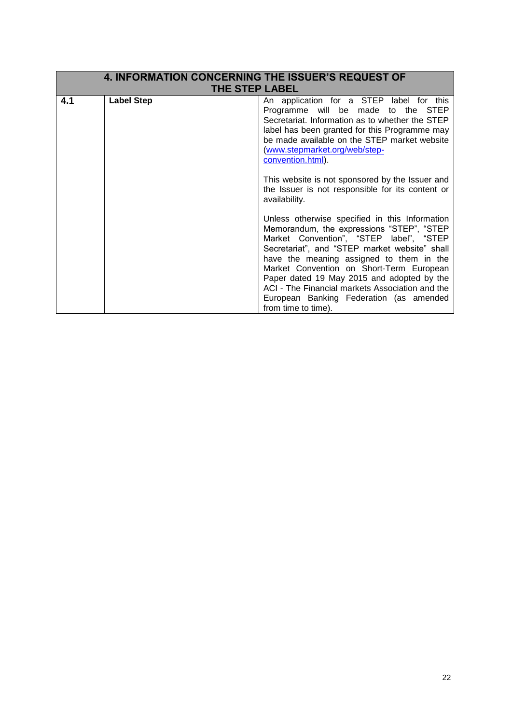| <b>4. INFORMATION CONCERNING THE ISSUER'S REQUEST OF</b> |                       |                                                                                                                                                                                                                                                                                                                                                                                                                                                    |  |
|----------------------------------------------------------|-----------------------|----------------------------------------------------------------------------------------------------------------------------------------------------------------------------------------------------------------------------------------------------------------------------------------------------------------------------------------------------------------------------------------------------------------------------------------------------|--|
|                                                          | <b>THE STEP LABEL</b> |                                                                                                                                                                                                                                                                                                                                                                                                                                                    |  |
| 4.1                                                      | <b>Label Step</b>     | An application for a STEP label for this<br>Programme will be made to the STEP<br>Secretariat. Information as to whether the STEP<br>label has been granted for this Programme may<br>be made available on the STEP market website<br>(www.stepmarket.org/web/step-<br>convention.html).                                                                                                                                                           |  |
|                                                          |                       | This website is not sponsored by the Issuer and<br>the Issuer is not responsible for its content or<br>availability.                                                                                                                                                                                                                                                                                                                               |  |
|                                                          |                       | Unless otherwise specified in this Information<br>Memorandum, the expressions "STEP", "STEP<br>Market Convention", "STEP label", "STEP<br>Secretariat", and "STEP market website" shall<br>have the meaning assigned to them in the<br>Market Convention on Short-Term European<br>Paper dated 19 May 2015 and adopted by the<br>ACI - The Financial markets Association and the<br>European Banking Federation (as amended<br>from time to time). |  |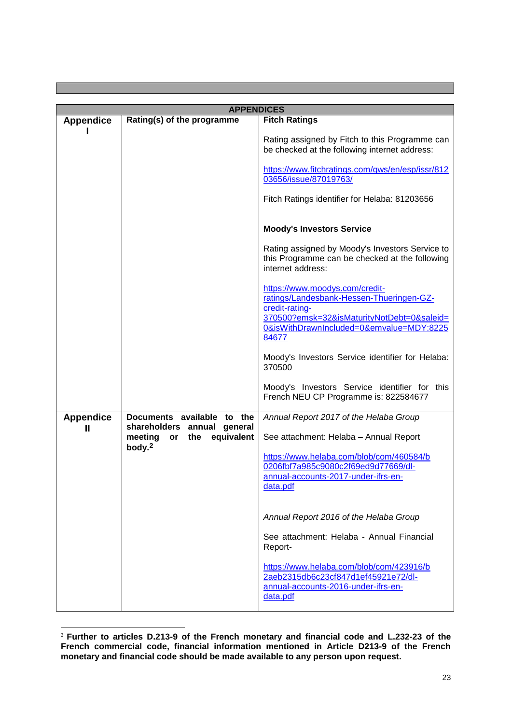|                  | <b>APPENDICES</b>                                        |                                                                                                                                                                                                                               |
|------------------|----------------------------------------------------------|-------------------------------------------------------------------------------------------------------------------------------------------------------------------------------------------------------------------------------|
| <b>Appendice</b> | Rating(s) of the programme                               | <b>Fitch Ratings</b>                                                                                                                                                                                                          |
|                  |                                                          | Rating assigned by Fitch to this Programme can<br>be checked at the following internet address:<br>https://www.fitchratings.com/gws/en/esp/issr/812<br>03656/issue/87019763/<br>Fitch Ratings identifier for Helaba: 81203656 |
|                  |                                                          | <b>Moody's Investors Service</b>                                                                                                                                                                                              |
|                  |                                                          | Rating assigned by Moody's Investors Service to<br>this Programme can be checked at the following<br>internet address:                                                                                                        |
|                  |                                                          | https://www.moodys.com/credit-<br>ratings/Landesbank-Hessen-Thueringen-GZ-<br>credit-rating-<br>370500?emsk=32&isMaturityNotDebt=0&saleid=<br>0&isWithDrawnIncluded=0&emvalue=MDY:8225<br>84677                               |
|                  |                                                          | Moody's Investors Service identifier for Helaba:<br>370500                                                                                                                                                                    |
|                  |                                                          | Moody's Investors Service identifier for this<br>French NEU CP Programme is: 822584677                                                                                                                                        |
| <b>Appendice</b> | Documents available to the                               | Annual Report 2017 of the Helaba Group                                                                                                                                                                                        |
| $\mathbf{I}$     | shareholders<br>annual<br>general                        |                                                                                                                                                                                                                               |
|                  | equivalent<br>meeting<br>the<br>or<br>body. <sup>2</sup> | See attachment: Helaba - Annual Report                                                                                                                                                                                        |
|                  |                                                          | https://www.helaba.com/blob/com/460584/b<br>0206fbf7a985c9080c2f69ed9d77669/dl-<br>annual-accounts-2017-under-ifrs-en-<br>data.pdf                                                                                            |
|                  |                                                          | Annual Report 2016 of the Helaba Group                                                                                                                                                                                        |
|                  |                                                          | See attachment: Helaba - Annual Financial<br>Report-                                                                                                                                                                          |
|                  |                                                          | https://www.helaba.com/blob/com/423916/b<br>2aeb2315db6c23cf847d1ef45921e72/dl-<br>annual-accounts-2016-under-ifrs-en-<br>data.pdf                                                                                            |

<sup>1</sup> <sup>2</sup> **Further to articles D.213-9 of the French monetary and financial code and L.232-23 of the French commercial code, financial information mentioned in Article D213-9 of the French monetary and financial code should be made available to any person upon request.**

m.